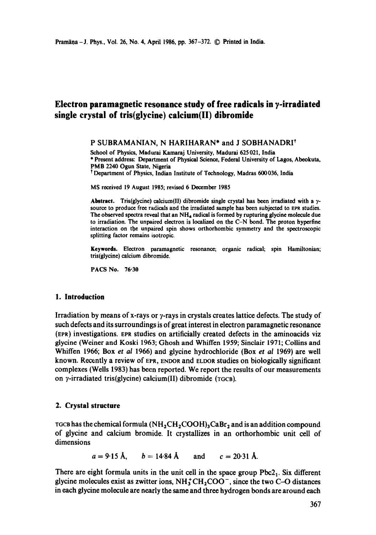# **Electron paramagnetic resonance study of free radicals in ?-irradiated single crystal of tris(glycine) calcium(ll) dibromide**

#### P SUBRAMANIAN, N HARIHARAN\* and J SOBHANADRI<sup>†</sup>

School of Physics, Madurai Kamaraj University, Madurai 625 021, India \* Present address: Department of Physical Science, Federal University of Lagos, Abeokuta, PMB 2240 Ogun State, Nigeria

t Department of Physics, Indian Institute of Technology, Madras 600036, India

MS received 19 August 1985; revised 6 December 1985

Abstract. Tris(glycine) calcium(II) dibromide single crystal has been irradiated with a  $\gamma$ source to produce free radicals and the irradiated sample has been subjected to EPR studies. The observed spectra reveal that an  $NH_4$  radical is formed by rupturing glycine molecule due to irradiation. The unpaired electron is localized on the C-N bond. The proton hyperfine interaction on the unpaired spin shows orthorhombic symmetry and the spectroscopic splitting factor remains isotropic.

Keywords. Electron paramagnetic resonance; organic radical; spin Hamiltonian; tris(glycine) calcium dibromide.

PACS No. **76-30** 

#### **1. Introduction**

Irradiation by means of x-rays or  $\gamma$ -rays in crystals creates lattice defects. The study of such defects and its surroundings is of great interest in electron paramagnetic resonance (EPR) investigations. EPR studies on artificially created defects in the aminoacids viz glycine (Weiner and Koski 1963; Ghosh and Whiffen 1959; Sinclair 1971; Collins and Whiffen 1966; Box *et al* 1966) and glycine hydrochloride (Box *et al* 1969) are well known. Recently a review of EPR, ENDOR and ELDOR studies on biologically significant complexes (Wells 1983) has been reported. We report the results of our measurements on y-irradiated tris(glycine) calcium(II) dibromide (TGCB).

#### **2. Crystal structure**

TGCB has the chemical formula  $(NH_2CH_2COOH)_3CABr_2$  and is an addition compound of glycine and calcium bromide. It crystallizes in an orthorhombic unit cell of dimensions

 $a = 9.15$  Å,  $b = 14.84$  Å and  $c = 20.31$  Å.

There are eight formula units in the unit cell in the space group  $Pbc2<sub>1</sub>$ . Six different glycine molecules exist as zwitter ions,  $NH_3^+CH_2COO^-$ , since the two C-O distances in each glycine molecule are nearly the same and three hydrogen bonds are around each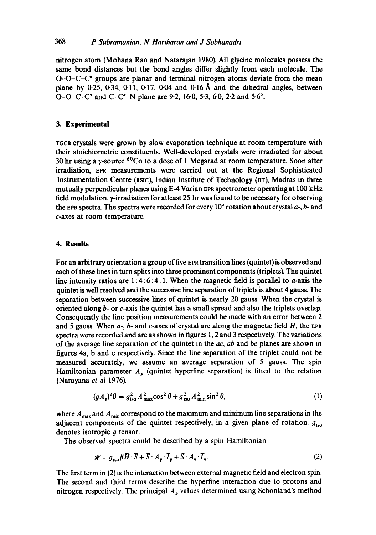#### 368 *P Subramanian, N Hariharan and J Sobhanadri*

nitrogen atom (Mohana Rao and Natarajan 1980). All glycine molecules possess the same bond distances but the bond angles differ slightly from each molecule. The  $O$ - $O$ - $C$ - $C^*$  groups are planar and terminal nitrogen atoms deviate from the mean plane by  $0.25$ ,  $0.34$ ,  $0.11$ ,  $0.17$ ,  $0.04$  and  $0.16$  Å and the dihedral angles, between O-O-C-C" and C-C"-N plane are 9.2, 16.0, 5.3, 6.0, 2.2 and 5.6°.

## **3. Experimental**

TGCB crystals were grown by slow evaporation technique at room temperature with their stoichiometric constituents. Well-developed crystals were irradiated for about 30 hr using a y-source  ${}^{60}Co$  to a dose of 1 Megarad at room temperature. Soon after irradiation, EPR measurements were carried out at the Regional Sophisticated Instrumentation Centre (xslc), Indian Institute of Technology (nr), Madras in three mutually perpendicular planes using E-4 Varian EPX spectrometer operating at 100 kHz field modulation.  $\gamma$ -irradiation for atleast 25 hr was found to be necessary for observing the EPR spectra. The spectra were recorded for every 10 $^{\circ}$  rotation about crystal  $a$ -, b- and c-axes at room temperature.

#### **4. Results**

For an arbitrary orientation a group of five EPx transition lines (quintet) is observed and each of these lines in turn splits into three prominent components (triplets). The quintet line intensity ratios are  $1:4:6:4:1$ . When the magnetic field is parallel to *a*-axis the quintet is well resolved and the successive fine separation of triplets is about 4 gauss. The separation between successive lines of quintet is nearly 20 gauss. When the crystal is oriented along b- or c-axis the quintet has a small spread and also the triplets overlap. Consequently the line position measurements could be made with an error between 2 and 5 gauss. When  $a<sub>2</sub>$ ,  $b<sub>3</sub>$  and c-axes of crystal are along the magnetic field  $H$ , the EPR spectra were recorded and are as shown in figures 1, 2 and 3 respectively. The variations of the average line separation of the quintet in the *ac, ab* and *bc* planes are shown in figures 4a, b and c respectively. Since the line separation of the triplet could not be measured accurately, we assume an average separation of 5 gauss. The spin Hamiltonian parameter  $A_p$  (quintet hyperfine separation) is fitted to the relation (Narayana *et al* 1976).

$$
(gA_p)^2 \theta = g_{\text{iso}}^2 A_{\text{max}}^2 \cos^2 \theta + g_{\text{iso}}^2 A_{\text{min}}^2 \sin^2 \theta,\tag{1}
$$

where  $A_{\text{max}}$  and  $A_{\text{min}}$  correspond to the maximum and minimum line separations in the adjacent components of the quintet respectively, in a given plane of rotation.  $g_{iso}$ denotes isotropic  $g$  tensor.

The observed spectra could be described by a spin Hamiltonian

$$
\mathcal{H} = g_{\text{iso}} \beta \bar{H} \cdot \bar{S} + \bar{S} \cdot A_p \cdot \bar{I}_p + \bar{S} \cdot A_n \cdot \bar{I}_n. \tag{2}
$$

The first term in (2) is the interaction between external magnetic field and electron spin. The second and third terms describe the hyperfine interaction due to protons and nitrogen respectively. The principal  $A<sub>p</sub>$  values determined using Schonland's method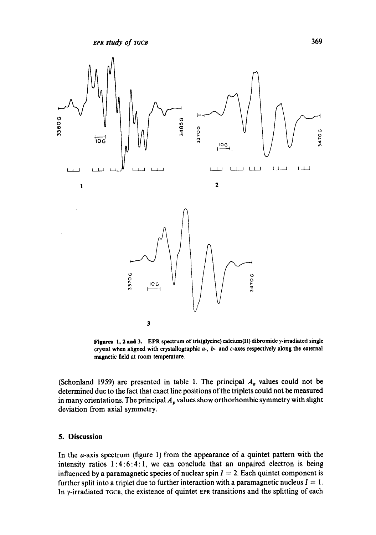

**Figures 1, 2 and 3.** EPR spectrum of tris(glycine) calcium(II) dibromide  $\gamma$ -irradiated single crystal when aligned with crystallographic a-, b- and c-axes respectively along the external magnetic field at room temperature.

(Schonland 1959) are presented in table 1. The principal  $A_n$  values could not be determined due to the fact that exact line positions of the triplets could not be measured in many orientations. The principal  $A_p$  values show orthorhombic symmetry with slight deviation from axial symmetry.

#### **5. Discussion**

In the a-axis spectrum (figure 1) from the appearance of a quintet pattern with the intensity ratios 1:4:6:4: 1, we can conclude that an unpaired electron is being influenced by a paramagnetic species of nuclear spin  $I = 2$ . Each quintet component is further split into a triplet due to further interaction with a paramagnetic nucleus  $I = 1$ . In  $\gamma$ -irradiated  $\tau$ GCB, the existence of quintet EPR transitions and the splitting of each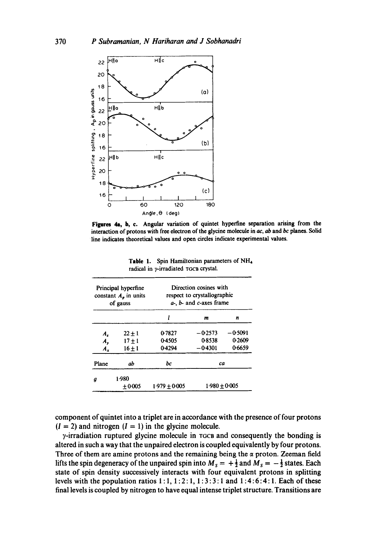

**Figures** 4a, b, c. **Angular variation of quintet hyperfine separation arising from the interaction of protons with free electron of the glycine molecule in** ac, ab and *bc* **planes. Solid line indicates theoretical values and open circles indicate experimental values.** 

| Principal hyperfine<br>constant $A_p$ in units<br>of gauss |                   | Direction cosines with<br>respect to crystallographic<br>$a-$ , $b-$ and $c$ -axes frame |                 |        |  |  |
|------------------------------------------------------------|-------------------|------------------------------------------------------------------------------------------|-----------------|--------|--|--|
|                                                            |                   |                                                                                          | m               | n      |  |  |
| $A_z$                                                      | $22 \pm 1$        | 0-7827                                                                                   | $-0.2573$       | -05091 |  |  |
| A.,                                                        | $17 + 1$          | 04505                                                                                    | 08538           | 0.2609 |  |  |
| $A_{x}$                                                    | $16 + 1$          | 0.4294                                                                                   | $-0.4301$       | 0-6659 |  |  |
| Plane                                                      | ab                | bс                                                                                       | ca              |        |  |  |
| д                                                          | 1.980<br>$+0.005$ | $1.979 + 0.005$                                                                          | $1.980 + 0.005$ |        |  |  |

**Table 1. Spin Hamiltonian parameters of NH,**  radical in y-irradiated TGCB crystal.

**component of quintet into a triplet are in accordance with the presence of four protons**   $(I = 2)$  and nitrogen  $(I = 1)$  in the glycine molecule.

 $\gamma$ -irradiation ruptured glycine molecule in TGCB and consequently the bonding is **altered in such a way that the unpaired electron is coupled equivalently by four protons.**  Three of them are amine protons and the remaining being the  $\alpha$  proton. Zeeman field lifts the spin degeneracy of the unpaired spin into  $M_s = +\frac{1}{2}$  and  $M_s = -\frac{1}{2}$  states. Each **state of spin density successively interacts with four equivalent protons in splitting**  levels with the population ratios  $1:1, 1:2:1, 1:3:3:1$  and  $1:4:6:4:1$ . Each of these **final levels is coupled by nitrogen to have equal intense triplet structure. Transitions are**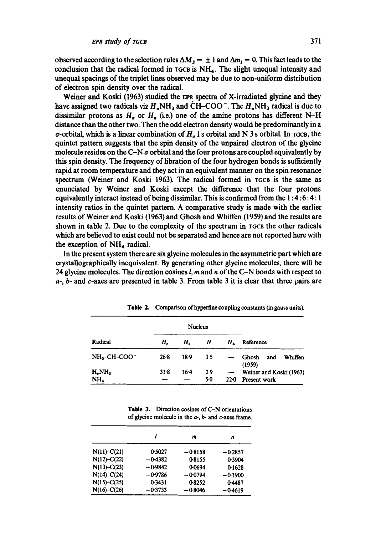observed according to the selection rules  $\Delta M_s = \pm 1$  and  $\Delta m_l = 0$ . This fact leads to the conclusion that the radical formed in  $\tau$ GCB is  $NH_4$ . The slight unequal intensity and unequal spacings of the triplet lines observed may be due to non-uniform distribution of electron spin density over the radical.

Weiner and Koski (1963) studied the EPR spectra of X-irradiated glycine and they have assigned two radicals viz  $H_{\sigma}NH_3$  and CH-COO<sup>-</sup>. The  $H_{\sigma}NH_3$  radical is due to dissimilar protons as  $H_{\sigma}$  or  $H_{n}$  (i.e.) one of the amine protons has different N-H distance than the other two. Then the odd electron density would be predominantly in a  $\sigma$ -orbital, which is a linear combination of  $H_{\sigma}$  1 s orbital and N 3 s orbital. In TGCB, the quintet pattern suggests that the spin density of the unpaired electron of the glycine molecule resides on the C-N  $\sigma$  orbital and the four protons are coupled equivalently by this spin density. The frequency of libration of the four hydrogen bonds is sufficiently rapid at room temperature and they act in an equivalent manner on the spin resonance spectrum (Weiner and Koski 1963). The radical formed in TGCB is the same as enunciated by Weiner and Koski except the difference that the four protons equivalently interact instead of being dissimilar. This is confirmed from the 1 : 4: 6: 4: 1 intensity ratios in the quintet pattern. A comparative study is made with the earlier results of Weiner and Koski (1963) and Ghosh and Whiffen (1959) and the results are shown in table 2. Due to the complexity of the spectrum in TGCB the other radicals which are believed to exist could not be separated and hence are not reported here with the exception of  $NH<sub>4</sub>$  radical.

In the present system there are six glycine molecules in the asymmetric part which are crystallographieelly inequivalent. By generating other glycine molecules, there will be 24 glycine molecules. The direction cosines  $l$ ,  $m$  and  $n$  of the C-N bonds with respect to  $a$ -,  $b$ - and  $c$ -axes are presented in table 3. From table 3 it is clear that three pairs are

|                  | <b>Nucleus</b> |        |     |                          |                                   |  |
|------------------|----------------|--------|-----|--------------------------|-----------------------------------|--|
| Radical          | $H_{c}$        | Н.     | N   | Н.                       | Reference                         |  |
| $NH3-CH-COO-$    | 26.8           | $18-9$ | 3.5 |                          | Whiffen<br>Ghosh<br>and<br>(1959) |  |
| $H_{\sigma}NH_3$ | $31-8$         | $16-4$ | 2.9 | $\overline{\phantom{a}}$ | Weiner and Koski (1963)           |  |
| NH,              |                |        | 50  | $22-0$                   | Present work                      |  |

Table 2. Comparison of hyperfine coupling constants (in gauss units).

Table 3. Direction cosines of C-N orientations of glycine molecule in the  $a-$ ,  $b-$  and  $c$ -axes frame.

|                 |           | m         | n         |
|-----------------|-----------|-----------|-----------|
| $N(11) - C(21)$ | 0.5027    | $-0.8158$ | $-0.2857$ |
| $N(12) - C(22)$ | -0-4382   | 0-8155    | 0.3904    |
| $N(13) - C(23)$ | $-0.9842$ | 0-0694    | 0.1628    |
| $N(14) - C(24)$ | $-0.9786$ | $-0.0794$ | $-0.1900$ |
| $N(15)-C(25)$   | 0.3431    | 08252     | 0-4487    |
| $N(16)-C(26)$   | $-0.3733$ | $-0.8046$ | $-0.4619$ |